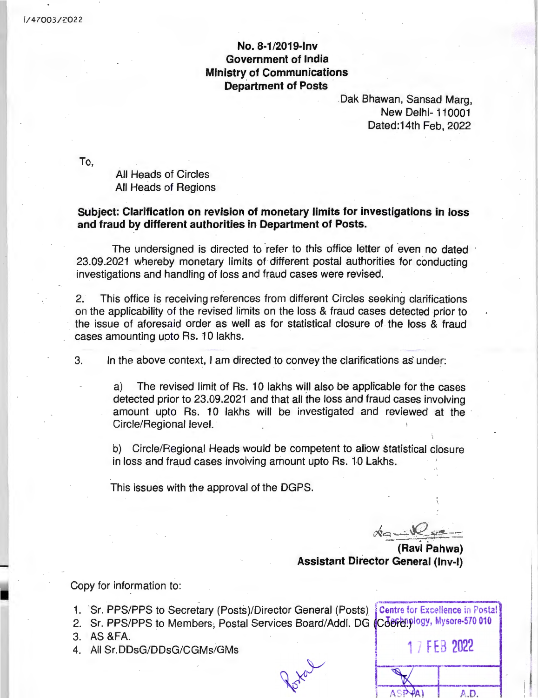## **No. 8-1/2019-lnv Government of India Ministry of Communications Department of Posts**

Oak Bhawan, Sansad Marg, New Delhi- 110001 Dated:14th Feb, 2022

To,

All Heads of Circles All Heads of Regions

## **Subject: Clarification on revision of monetary limits for investigations in loss and fraud by different authorities in Department of Posts.**

The undersigned is directed to refer to this office letter of even no dated 23.09.2021 whereby monetary limits of different postal authorities for conducting investigations and handling of loss and fraud cases were revised.

2. This office is receiving references from different Circles seeking clarifications on the applicability of the revised limits on the loss & fraud cases detected prior to the issue of aforesaid order as well as for statistical closure of the loss & fraud cases amounting upto Rs. 10 lakhs.

3. In the above context, I am directed to convey the clarifications as under:

a) The revised limit of Rs. 10 lakhs will also be applicable for the cases detected prior to 23.09.2021 and that all the loss and fraud cases involving amount upto Rs. 10 lakhs will be investigated and reviewed at the Circle/Regional level.

b) Circle/Regional Heads would be competent to allow statistical closure in loss and fraud cases involving amount upto Rs. 10 Lakhs.

This issues with the approval of the DGPS.

·; i:,~.--, --~ **,\C:.: \_.~:=:!':-**\_,\_. <sup>~</sup> - -,---.. . - -··- -- **(Ravi Pahwa)** 

**Assistant Director General (Inv-I)** 

Copy for information to:

- 1. Sr. PPS/PPS to Secretary (Posts)/Director General (Posts)
- 2. Sr. PPS/PPS to Members, Postal Services Board/Addl. DG
- 
- !: ;~ :t;DsG/DDsG/CGMs/GMs · <sup>I</sup>**f E 2022**

| <b>Centre for Excellence in Postal [</b><br>Cderenplogy, Mysore-570 010 |  |            |  |
|-------------------------------------------------------------------------|--|------------|--|
|                                                                         |  | 17FEB 2022 |  |
|                                                                         |  |            |  |
|                                                                         |  |            |  |